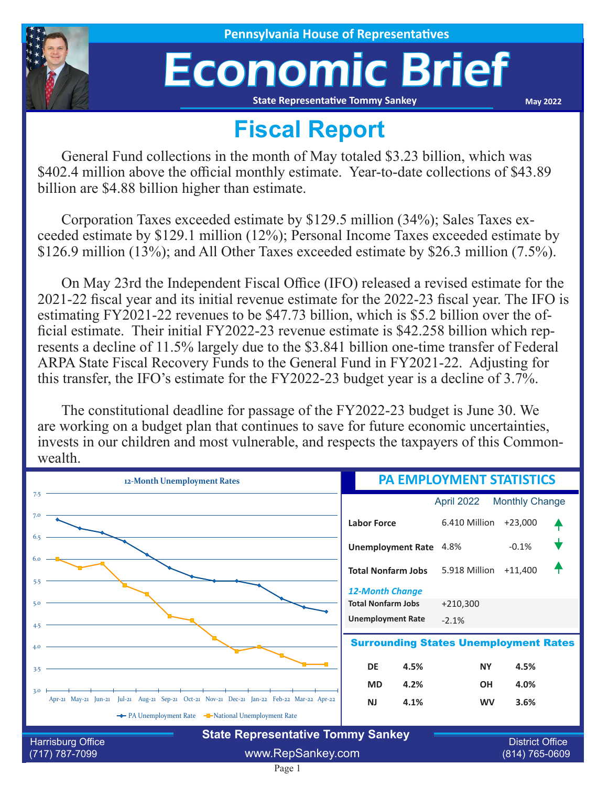

**House of Representatives** 

## Economic Brief

**State Representative Tommy Sankey**

**May 2022**

## **Fiscal Report**

General Fund collections in the month of May totaled \$3.23 billion, which was \$402.4 million above the official monthly estimate. Year-to-date collections of \$43.89 billion are \$4.88 billion higher than estimate.

Corporation Taxes exceeded estimate by \$129.5 million (34%); Sales Taxes exceeded estimate by \$129.1 million (12%); Personal Income Taxes exceeded estimate by \$126.9 million (13%); and All Other Taxes exceeded estimate by \$26.3 million (7.5%).

On May 23rd the Independent Fiscal Office (IFO) released a revised estimate for the 2021-22 fiscal year and its initial revenue estimate for the 2022-23 fiscal year. The IFO is estimating FY2021-22 revenues to be \$47.73 billion, which is \$5.2 billion over the official estimate. Their initial FY2022-23 revenue estimate is \$42.258 billion which represents a decline of 11.5% largely due to the \$3.841 billion one-time transfer of Federal ARPA State Fiscal Recovery Funds to the General Fund in FY2021-22. Adjusting for this transfer, the IFO's estimate for the FY2022-23 budget year is a decline of 3.7%.

The constitutional deadline for passage of the FY2022-23 budget is June 30. We are working on a budget plan that continues to save for future economic uncertainties, invests in our children and most vulnerable, and respects the taxpayers of this Commonwealth.

| 12-Month Unemployment Rates                                                                                                                                | <b>PA EMPLOYMENT STATISTICS</b>                     |                |                        |  |
|------------------------------------------------------------------------------------------------------------------------------------------------------------|-----------------------------------------------------|----------------|------------------------|--|
| 7.5                                                                                                                                                        |                                                     | April 2022     | <b>Monthly Change</b>  |  |
| 7.0                                                                                                                                                        | <b>Labor Force</b>                                  | 6.410 Million  | $+23,000$              |  |
| 6.5                                                                                                                                                        | <b>Unemployment Rate</b> 4.8%                       |                | $-0.1%$                |  |
| 6.0<br>5.5                                                                                                                                                 | <b>Total Nonfarm Jobs</b>                           | 5.918 Million  | $+11,400$              |  |
| 5.0                                                                                                                                                        | <b>12-Month Change</b><br><b>Total Nonfarm Jobs</b> | $+210,300$     |                        |  |
| 4.5                                                                                                                                                        | <b>Unemployment Rate</b>                            | $-2.1%$        |                        |  |
| <b>Surrounding States Unemployment Rates</b><br>4.0                                                                                                        |                                                     |                |                        |  |
| 3.5                                                                                                                                                        | <b>DE</b><br>4.5%                                   | <b>NY</b>      | 4.5%                   |  |
| 3.0                                                                                                                                                        | 4.2%<br><b>MD</b>                                   | <b>OH</b>      | 4.0%                   |  |
| Jul-21 Aug-21 Sep-21 Oct-21 Nov-21 Dec-21 Jan-22 Feb-22 Mar-22 Apr-22<br>Apr-21 $May-21$ Jun-21<br>The PA Unemployment Rate The National Unemployment Rate | 4.1%<br><b>NJ</b>                                   | <b>WV</b>      | 3.6%                   |  |
| <b>State Representative Tommy Sankey</b><br>Harrisburg Office                                                                                              |                                                     |                | <b>District Office</b> |  |
| www.RepSankey.com<br>(717) 787-7099                                                                                                                        |                                                     | (814) 765-0609 |                        |  |